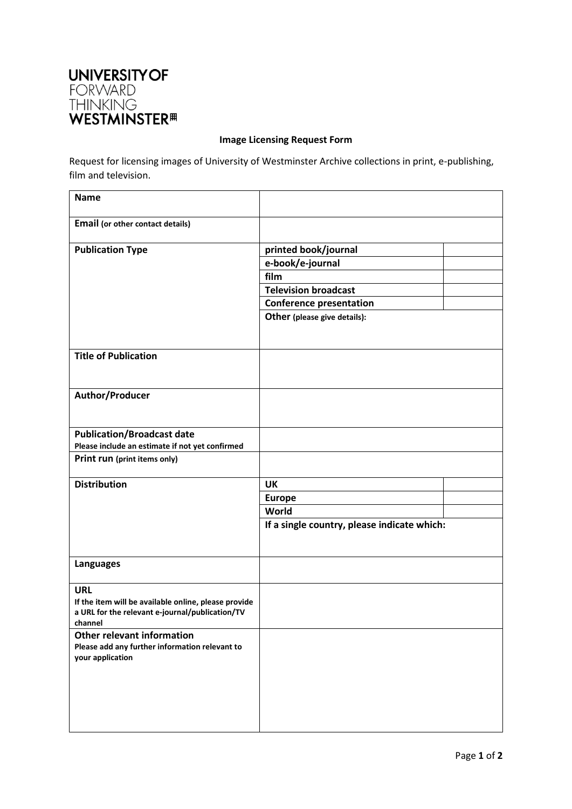

## **Image Licensing Request Form**

Request for licensing images of University of Westminster Archive collections in print, e-publishing, film and television.

| <b>Name</b>                                                |                                             |  |  |
|------------------------------------------------------------|---------------------------------------------|--|--|
| Email (or other contact details)                           |                                             |  |  |
| <b>Publication Type</b>                                    | printed book/journal                        |  |  |
|                                                            | e-book/e-journal                            |  |  |
|                                                            | film                                        |  |  |
|                                                            | <b>Television broadcast</b>                 |  |  |
|                                                            | <b>Conference presentation</b>              |  |  |
|                                                            | Other (please give details):                |  |  |
| <b>Title of Publication</b>                                |                                             |  |  |
| Author/Producer                                            |                                             |  |  |
| <b>Publication/Broadcast date</b>                          |                                             |  |  |
| Please include an estimate if not yet confirmed            |                                             |  |  |
| Print run (print items only)                               |                                             |  |  |
| <b>Distribution</b>                                        | UK                                          |  |  |
|                                                            | <b>Europe</b>                               |  |  |
|                                                            | World                                       |  |  |
|                                                            | If a single country, please indicate which: |  |  |
| <b>Languages</b>                                           |                                             |  |  |
| <b>URL</b>                                                 |                                             |  |  |
| If the item will be available online, please provide       |                                             |  |  |
| a URL for the relevant e-journal/publication/TV<br>channel |                                             |  |  |
| <b>Other relevant information</b>                          |                                             |  |  |
| Please add any further information relevant to             |                                             |  |  |
| your application                                           |                                             |  |  |
|                                                            |                                             |  |  |
|                                                            |                                             |  |  |
|                                                            |                                             |  |  |
|                                                            |                                             |  |  |
|                                                            |                                             |  |  |